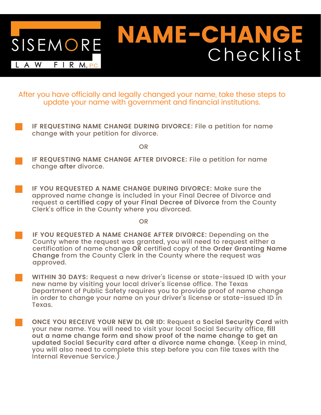

After you have officially and legally changed your name, take these steps to update your name with government and financial institutions.

**IF REQUESTING NAME CHANGE DURING DIVORCE:** File a petition for name change **with** your petition for divorce.

OR

- **IF REQUESTING NAME CHANGE AFTER DIVORCE:** File a petition for name change **after** divorce.
- **IF YOU REQUESTED A NAME CHANGE DURING DIVORCE:** Make sure the approved name change is included in your Final Decree of Divorce and request a **certified** c**opy of your Final Decree of Divorce** from the County Clerk's office in the County where you divorced.

OR

- **IF YOU REQUESTED A NAME CHANGE AFTER DIVORCE:** Depending on the County where the request was granted, you will need to request either a certification of name change **OR** certified copy of the **Order Granting Name Change** from the County Clerk in the County where the request was approved.
- **WITHIN 30 DAYS:** Request a new driver's license or state-issued ID with your new name by visiting your local driver's license office. The Texas Department of Public Safety requires you to provide proof of name change in order to change your name on your driver's license or state-issued ID in Texas.
- **ONCE YOU RECEIVE YOUR NEW DL OR ID:** Request a **Social Security Card** with your new name. You will need to visit your local Social Security office, fill **out a name change form and show proof of the name change to get an updated Social Security card after a divorce name change**. (Keep in mind, you will also need to complete this step before you can file taxes with the Internal Revenue Service.)